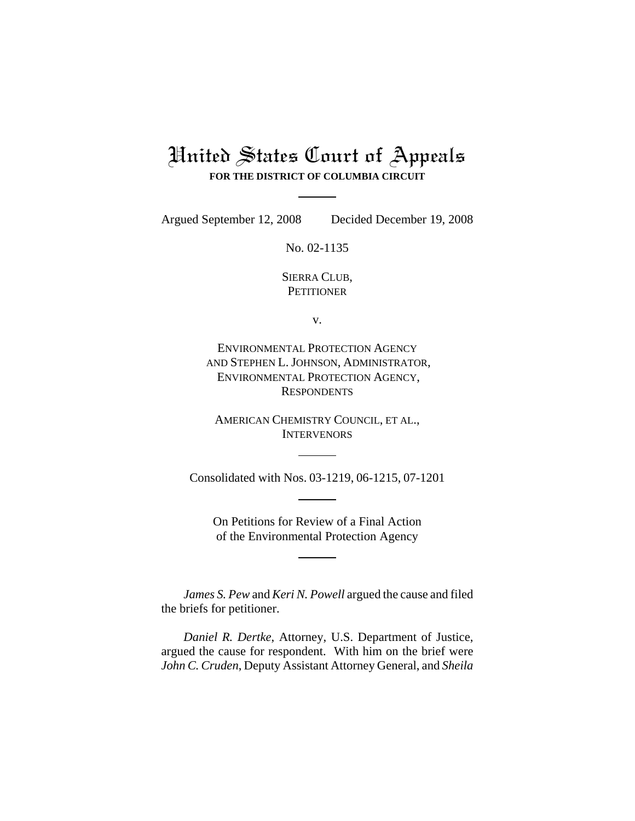## United States Court of Appeals **FOR THE DISTRICT OF COLUMBIA CIRCUIT**

Argued September 12, 2008 Decided December 19, 2008

No. 02-1135

SIERRA CLUB, **PETITIONER** 

v.

ENVIRONMENTAL PROTECTION AGENCY AND STEPHEN L. JOHNSON, ADMINISTRATOR, ENVIRONMENTAL PROTECTION AGENCY, **RESPONDENTS** 

AMERICAN CHEMISTRY COUNCIL, ET AL., **INTERVENORS** 

Consolidated with Nos. 03-1219, 06-1215, 07-1201

On Petitions for Review of a Final Action of the Environmental Protection Agency

*James S. Pew* and *Keri N. Powell* argued the cause and filed the briefs for petitioner.

*Daniel R. Dertke*, Attorney, U.S. Department of Justice, argued the cause for respondent. With him on the brief were *John C. Cruden*, Deputy Assistant Attorney General, and *Sheila*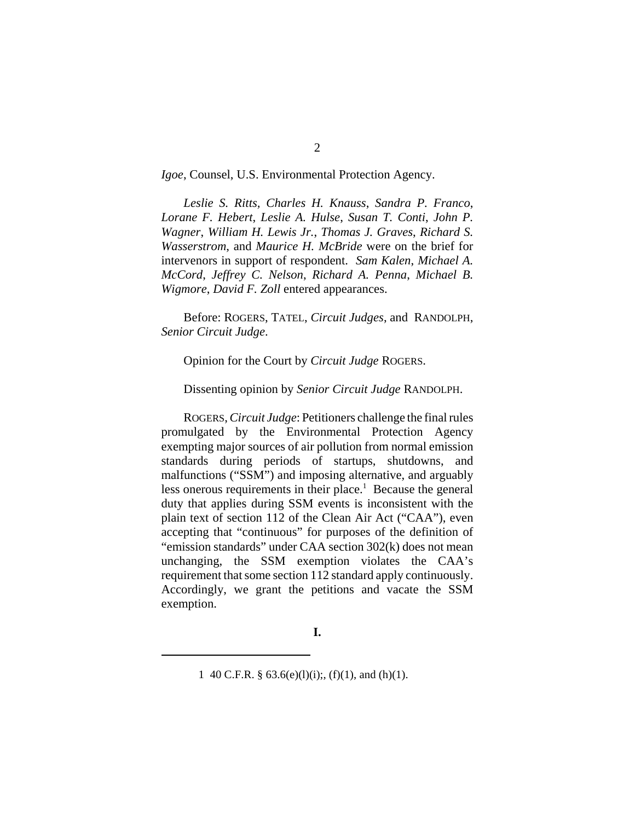*Igoe*, Counsel, U.S. Environmental Protection Agency.

*Leslie S. Ritts, Charles H. Knauss*, *Sandra P. Franco*, *Lorane F. Hebert*, *Leslie A. Hulse*, *Susan T. Conti*, *John P. Wagner*, *William H. Lewis Jr.*, *Thomas J. Graves*, *Richard S. Wasserstrom*, and *Maurice H. McBride* were on the brief for intervenors in support of respondent. *Sam Kalen*, *Michael A. McCord*, *Jeffrey C. Nelson*, *Richard A. Penna*, *Michael B. Wigmore*, *David F. Zoll* entered appearances.

Before: ROGERS, TATEL, *Circuit Judges*, and RANDOLPH, *Senior Circuit Judge*.

Opinion for the Court by *Circuit Judge* ROGERS.

Dissenting opinion by *Senior Circuit Judge* RANDOLPH.

ROGERS, *Circuit Judge*: Petitioners challenge the final rules promulgated by the Environmental Protection Agency exempting major sources of air pollution from normal emission standards during periods of startups, shutdowns, and malfunctions ("SSM") and imposing alternative, and arguably less onerous requirements in their place.<sup>1</sup> Because the general duty that applies during SSM events is inconsistent with the plain text of section 112 of the Clean Air Act ("CAA"), even accepting that "continuous" for purposes of the definition of "emission standards" under CAA section 302(k) does not mean unchanging, the SSM exemption violates the CAA's requirement that some section 112 standard apply continuously. Accordingly, we grant the petitions and vacate the SSM exemption.

<sup>1 40</sup> C.F.R. §  $63.6(e)(1)(i)$ ;,  $(f)(1)$ , and  $(h)(1)$ .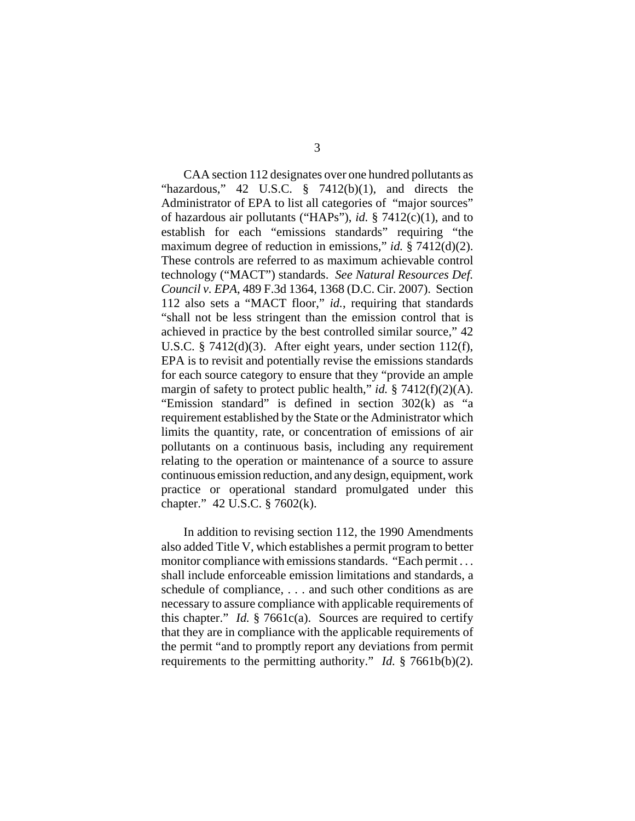CAA section 112 designates over one hundred pollutants as "hazardous," 42 U.S.C.  $\frac{8}{9}$  7412(b)(1), and directs the Administrator of EPA to list all categories of "major sources" of hazardous air pollutants ("HAPs"), *id.* § 7412(c)(1), and to establish for each "emissions standards" requiring "the maximum degree of reduction in emissions," *id.* § 7412(d)(2). These controls are referred to as maximum achievable control technology ("MACT") standards. *See Natural Resources Def. Council v. EPA*, 489 F.3d 1364, 1368 (D.C. Cir. 2007). Section 112 also sets a "MACT floor," *id.*, requiring that standards "shall not be less stringent than the emission control that is achieved in practice by the best controlled similar source," 42 U.S.C. § 7412(d)(3). After eight years, under section 112(f), EPA is to revisit and potentially revise the emissions standards for each source category to ensure that they "provide an ample margin of safety to protect public health," *id.* § 7412(f)(2)(A). "Emission standard" is defined in section 302(k) as "a requirement established by the State or the Administrator which limits the quantity, rate, or concentration of emissions of air pollutants on a continuous basis, including any requirement relating to the operation or maintenance of a source to assure continuous emission reduction, and any design, equipment, work practice or operational standard promulgated under this chapter." 42 U.S.C. § 7602(k).

In addition to revising section 112, the 1990 Amendments also added Title V, which establishes a permit program to better monitor compliance with emissions standards. "Each permit . . . shall include enforceable emission limitations and standards, a schedule of compliance, . . . and such other conditions as are necessary to assure compliance with applicable requirements of this chapter." *Id.* § 7661c(a). Sources are required to certify that they are in compliance with the applicable requirements of the permit "and to promptly report any deviations from permit requirements to the permitting authority." *Id.* § 7661b(b)(2).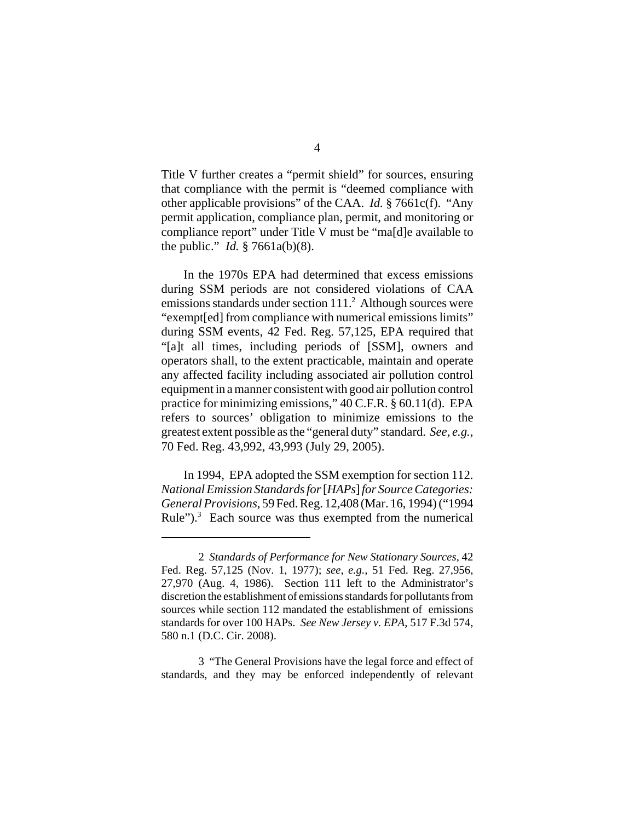Title V further creates a "permit shield" for sources, ensuring that compliance with the permit is "deemed compliance with other applicable provisions" of the CAA. *Id.* § 7661c(f). "Any permit application, compliance plan, permit, and monitoring or compliance report" under Title V must be "ma[d]e available to the public." *Id.* § 7661a(b)(8).

In the 1970s EPA had determined that excess emissions during SSM periods are not considered violations of CAA emissions standards under section  $111<sup>2</sup>$  Although sources were "exempt[ed] from compliance with numerical emissions limits" during SSM events, 42 Fed. Reg. 57,125, EPA required that "[a]t all times, including periods of [SSM], owners and operators shall, to the extent practicable, maintain and operate any affected facility including associated air pollution control equipment in a manner consistent with good air pollution control practice for minimizing emissions," 40 C.F.R. § 60.11(d). EPA refers to sources' obligation to minimize emissions to the greatest extent possible as the "general duty" standard. *See, e.g.*, 70 Fed. Reg. 43,992, 43,993 (July 29, 2005).

In 1994, EPA adopted the SSM exemption for section 112. *National Emission Standards for* [*HAPs*] *for Source Categories: General Provisions*, 59 Fed. Reg. 12,408 (Mar. 16, 1994) ("1994 Rule"). $3$  Each source was thus exempted from the numerical

3 "The General Provisions have the legal force and effect of standards, and they may be enforced independently of relevant

<sup>2</sup> *Standards of Performance for New Stationary Sources*, 42 Fed. Reg. 57,125 (Nov. 1, 1977); *see*, *e.g.*, 51 Fed. Reg. 27,956, 27,970 (Aug. 4, 1986). Section 111 left to the Administrator's discretion the establishment of emissions standards for pollutants from sources while section 112 mandated the establishment of emissions standards for over 100 HAPs. *See New Jersey v. EPA*, 517 F.3d 574, 580 n.1 (D.C. Cir. 2008).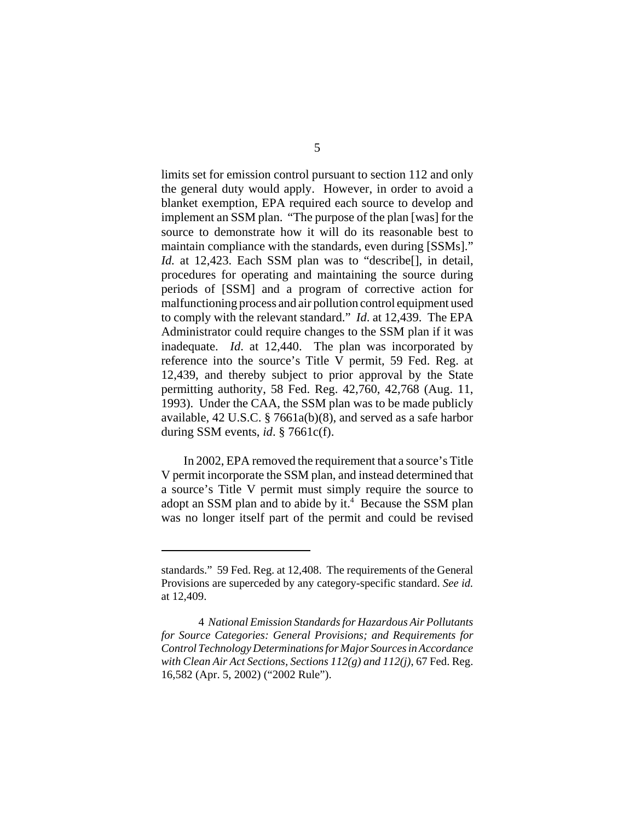limits set for emission control pursuant to section 112 and only the general duty would apply. However, in order to avoid a blanket exemption, EPA required each source to develop and implement an SSM plan. "The purpose of the plan [was] for the source to demonstrate how it will do its reasonable best to maintain compliance with the standards, even during [SSMs]." *Id.* at 12,423. Each SSM plan was to "describe[], in detail, procedures for operating and maintaining the source during periods of [SSM] and a program of corrective action for malfunctioning process and air pollution control equipment used to comply with the relevant standard." *Id*. at 12,439. The EPA Administrator could require changes to the SSM plan if it was inadequate. *Id*. at 12,440. The plan was incorporated by reference into the source's Title V permit, 59 Fed. Reg. at 12,439, and thereby subject to prior approval by the State permitting authority, 58 Fed. Reg. 42,760, 42,768 (Aug. 11, 1993). Under the CAA, the SSM plan was to be made publicly available, 42 U.S.C. § 7661a(b)(8), and served as a safe harbor during SSM events, *id*. § 7661c(f).

In 2002, EPA removed the requirement that a source's Title V permit incorporate the SSM plan, and instead determined that a source's Title V permit must simply require the source to adopt an SSM plan and to abide by it.<sup>4</sup> Because the SSM plan was no longer itself part of the permit and could be revised

standards." 59 Fed. Reg. at 12,408. The requirements of the General Provisions are superceded by any category-specific standard. *See id.* at 12,409.

<sup>4</sup> *National Emission Standards for Hazardous Air Pollutants for Source Categories: General Provisions; and Requirements for Control Technology Determinations for Major Sources in Accordance with Clean Air Act Sections, Sections 112(g) and 112(j)*, 67 Fed. Reg. 16,582 (Apr. 5, 2002) ("2002 Rule").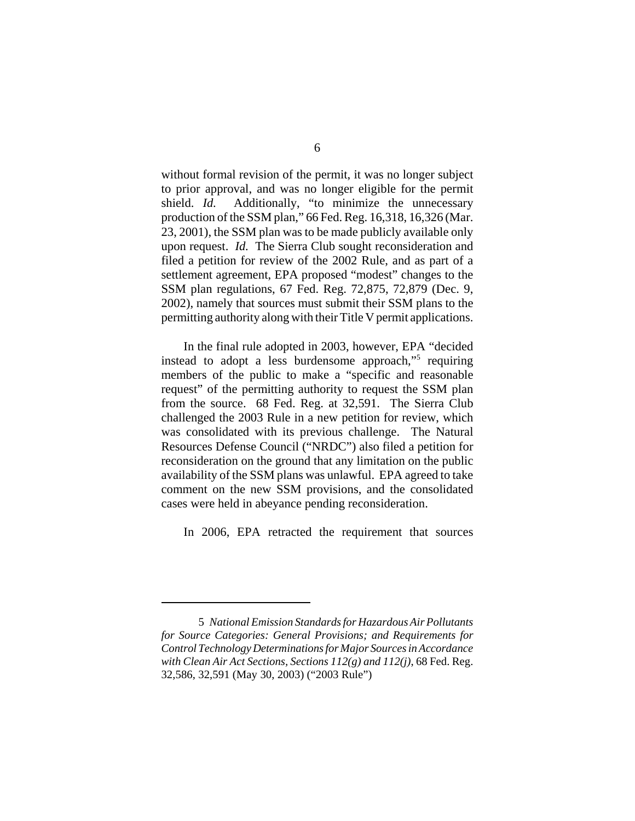without formal revision of the permit, it was no longer subject to prior approval, and was no longer eligible for the permit shield. *Id.* Additionally, "to minimize the unnecessary production of the SSM plan," 66 Fed. Reg. 16,318, 16,326 (Mar. 23, 2001), the SSM plan was to be made publicly available only upon request. *Id.* The Sierra Club sought reconsideration and filed a petition for review of the 2002 Rule, and as part of a settlement agreement, EPA proposed "modest" changes to the SSM plan regulations, 67 Fed. Reg. 72,875, 72,879 (Dec. 9, 2002), namely that sources must submit their SSM plans to the permitting authority along with their Title V permit applications.

In the final rule adopted in 2003, however, EPA "decided instead to adopt a less burdensome approach,"<sup>5</sup> requiring members of the public to make a "specific and reasonable request" of the permitting authority to request the SSM plan from the source. 68 Fed. Reg. at 32,591. The Sierra Club challenged the 2003 Rule in a new petition for review, which was consolidated with its previous challenge. The Natural Resources Defense Council ("NRDC") also filed a petition for reconsideration on the ground that any limitation on the public availability of the SSM plans was unlawful. EPA agreed to take comment on the new SSM provisions, and the consolidated cases were held in abeyance pending reconsideration.

In 2006, EPA retracted the requirement that sources

<sup>5</sup> *National Emission Standards for Hazardous Air Pollutants for Source Categories: General Provisions; and Requirements for Control Technology Determinations for Major Sources in Accordance with Clean Air Act Sections, Sections 112(g) and 112(j)*, 68 Fed. Reg. 32,586, 32,591 (May 30, 2003) ("2003 Rule")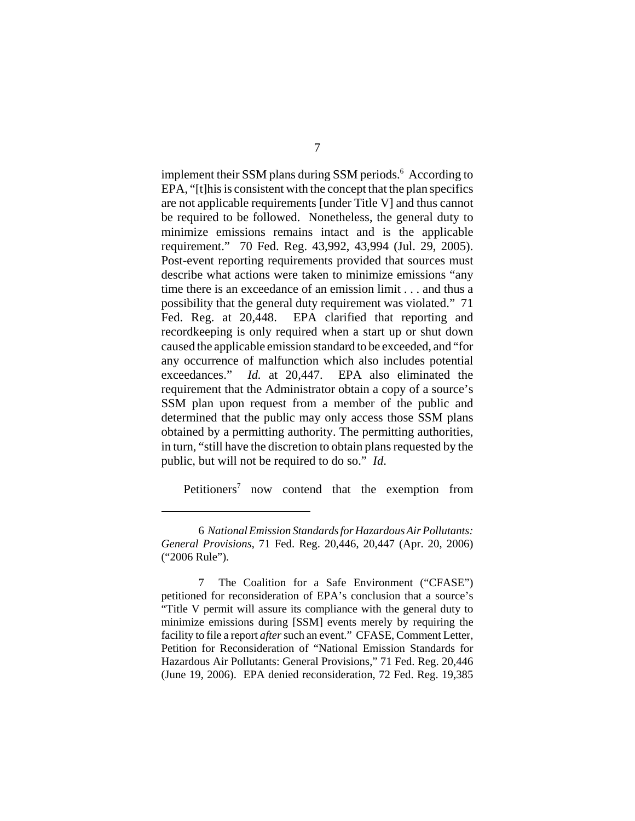implement their SSM plans during SSM periods.<sup>6</sup> According to EPA, "[t]his is consistent with the concept that the plan specifics are not applicable requirements [under Title V] and thus cannot be required to be followed. Nonetheless, the general duty to minimize emissions remains intact and is the applicable requirement." 70 Fed. Reg. 43,992, 43,994 (Jul. 29, 2005). Post-event reporting requirements provided that sources must describe what actions were taken to minimize emissions "any time there is an exceedance of an emission limit . . . and thus a possibility that the general duty requirement was violated." 71 Fed. Reg. at 20,448. EPA clarified that reporting and recordkeeping is only required when a start up or shut down caused the applicable emission standard to be exceeded, and "for any occurrence of malfunction which also includes potential exceedances." *Id.* at 20,447. EPA also eliminated the requirement that the Administrator obtain a copy of a source's SSM plan upon request from a member of the public and determined that the public may only access those SSM plans obtained by a permitting authority. The permitting authorities, in turn, "still have the discretion to obtain plans requested by the public, but will not be required to do so." *Id*.

Petitioners<sup>7</sup> now contend that the exemption from

<sup>6</sup> *National Emission Standards for Hazardous Air Pollutants: General Provisions*, 71 Fed. Reg. 20,446, 20,447 (Apr. 20, 2006) ("2006 Rule").

<sup>7</sup> The Coalition for a Safe Environment ("CFASE") petitioned for reconsideration of EPA's conclusion that a source's "Title V permit will assure its compliance with the general duty to minimize emissions during [SSM] events merely by requiring the facility to file a report *after* such an event." CFASE, Comment Letter, Petition for Reconsideration of "National Emission Standards for Hazardous Air Pollutants: General Provisions," 71 Fed. Reg. 20,446 (June 19, 2006). EPA denied reconsideration, 72 Fed. Reg. 19,385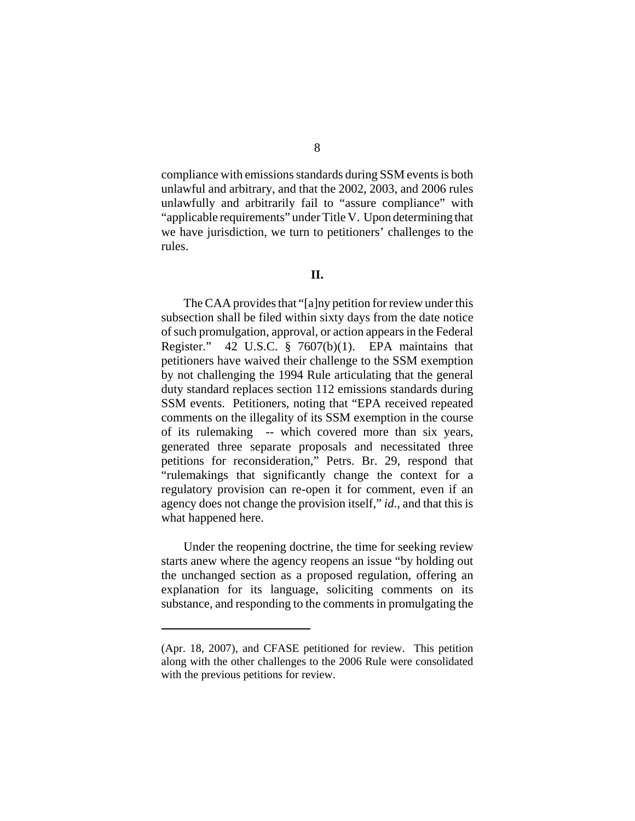compliance with emissions standards during SSM events is both unlawful and arbitrary, and that the 2002, 2003, and 2006 rules unlawfully and arbitrarily fail to "assure compliance" with "applicable requirements" under Title V. Upon determining that we have jurisdiction, we turn to petitioners' challenges to the rules.

## **II.**

The CAA provides that "[a]ny petition for review under this subsection shall be filed within sixty days from the date notice of such promulgation, approval, or action appears in the Federal Register." 42 U.S.C. § 7607(b)(1). EPA maintains that petitioners have waived their challenge to the SSM exemption by not challenging the 1994 Rule articulating that the general duty standard replaces section 112 emissions standards during SSM events. Petitioners, noting that "EPA received repeated comments on the illegality of its SSM exemption in the course of its rulemaking -- which covered more than six years, generated three separate proposals and necessitated three petitions for reconsideration," Petrs. Br. 29, respond that "rulemakings that significantly change the context for a regulatory provision can re-open it for comment, even if an agency does not change the provision itself," *id*., and that this is what happened here.

Under the reopening doctrine, the time for seeking review starts anew where the agency reopens an issue "by holding out the unchanged section as a proposed regulation, offering an explanation for its language, soliciting comments on its substance, and responding to the comments in promulgating the

<sup>(</sup>Apr. 18, 2007), and CFASE petitioned for review. This petition along with the other challenges to the 2006 Rule were consolidated with the previous petitions for review.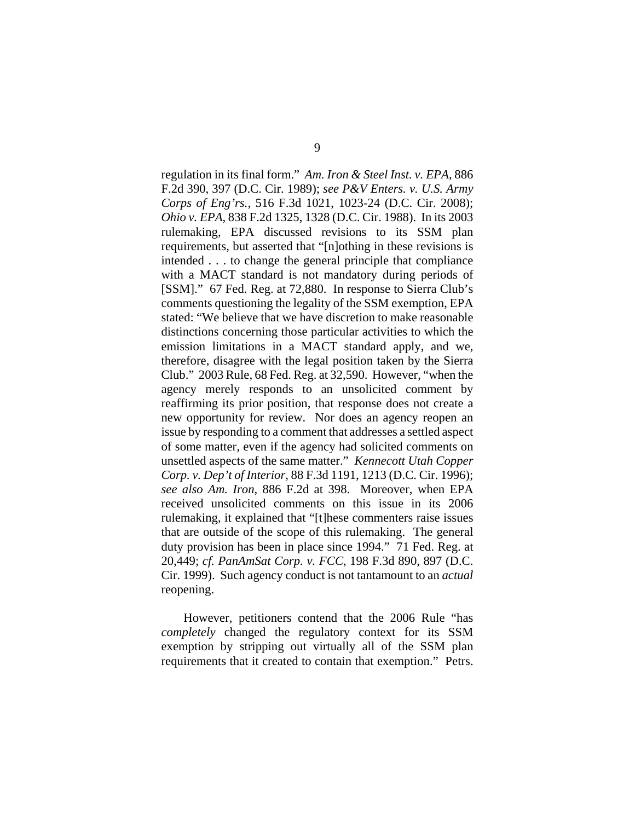regulation in its final form." *Am. Iron & Steel Inst. v. EPA*, 886 F.2d 390, 397 (D.C. Cir. 1989); *see P&V Enters. v. U.S. Army Corps of Eng'rs.*, 516 F.3d 1021, 1023-24 (D.C. Cir. 2008); *Ohio v. EPA*, 838 F.2d 1325, 1328 (D.C. Cir. 1988). In its 2003 rulemaking, EPA discussed revisions to its SSM plan requirements, but asserted that "[n]othing in these revisions is intended . . . to change the general principle that compliance with a MACT standard is not mandatory during periods of [SSM]." 67 Fed. Reg. at 72,880. In response to Sierra Club's comments questioning the legality of the SSM exemption, EPA stated: "We believe that we have discretion to make reasonable distinctions concerning those particular activities to which the emission limitations in a MACT standard apply, and we, therefore, disagree with the legal position taken by the Sierra Club." 2003 Rule, 68 Fed. Reg. at 32,590. However, "when the agency merely responds to an unsolicited comment by reaffirming its prior position, that response does not create a new opportunity for review. Nor does an agency reopen an issue by responding to a comment that addresses a settled aspect of some matter, even if the agency had solicited comments on unsettled aspects of the same matter." *Kennecott Utah Copper Corp. v. Dep't of Interior*, 88 F.3d 1191, 1213 (D.C. Cir. 1996); *see also Am. Iron*, 886 F.2d at 398. Moreover, when EPA received unsolicited comments on this issue in its 2006 rulemaking, it explained that "[t]hese commenters raise issues that are outside of the scope of this rulemaking. The general duty provision has been in place since 1994." 71 Fed. Reg. at 20,449; *cf. PanAmSat Corp. v. FCC*, 198 F.3d 890, 897 (D.C. Cir. 1999). Such agency conduct is not tantamount to an *actual* reopening.

However, petitioners contend that the 2006 Rule "has *completely* changed the regulatory context for its SSM exemption by stripping out virtually all of the SSM plan requirements that it created to contain that exemption." Petrs.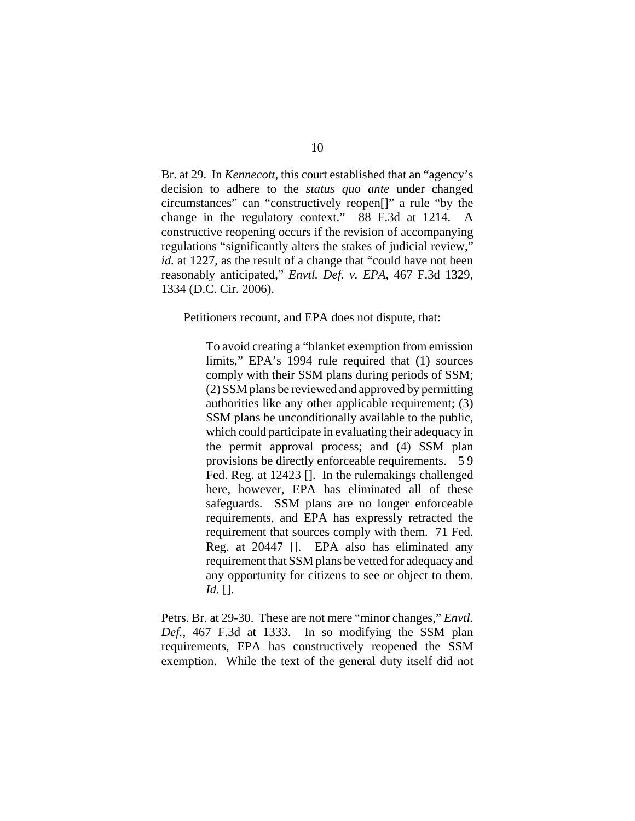Br. at 29. In *Kennecott*, this court established that an "agency's decision to adhere to the *status quo ante* under changed circumstances" can "constructively reopen[]" a rule "by the change in the regulatory context." 88 F.3d at 1214. A constructive reopening occurs if the revision of accompanying regulations "significantly alters the stakes of judicial review," *id.* at 1227, as the result of a change that "could have not been reasonably anticipated," *Envtl. Def. v. EPA*, 467 F.3d 1329, 1334 (D.C. Cir. 2006).

Petitioners recount, and EPA does not dispute, that:

To avoid creating a "blanket exemption from emission limits," EPA's 1994 rule required that (1) sources comply with their SSM plans during periods of SSM; (2) SSM plans be reviewed and approved by permitting authorities like any other applicable requirement; (3) SSM plans be unconditionally available to the public, which could participate in evaluating their adequacy in the permit approval process; and (4) SSM plan provisions be directly enforceable requirements. 5 9 Fed. Reg. at 12423 []. In the rulemakings challenged here, however, EPA has eliminated all of these safeguards. SSM plans are no longer enforceable requirements, and EPA has expressly retracted the requirement that sources comply with them. 71 Fed. Reg. at 20447 []. EPA also has eliminated any requirement that SSM plans be vetted for adequacy and any opportunity for citizens to see or object to them. *Id.* [].

Petrs. Br. at 29-30. These are not mere "minor changes," *Envtl. Def.*, 467 F.3d at 1333. In so modifying the SSM plan requirements, EPA has constructively reopened the SSM exemption. While the text of the general duty itself did not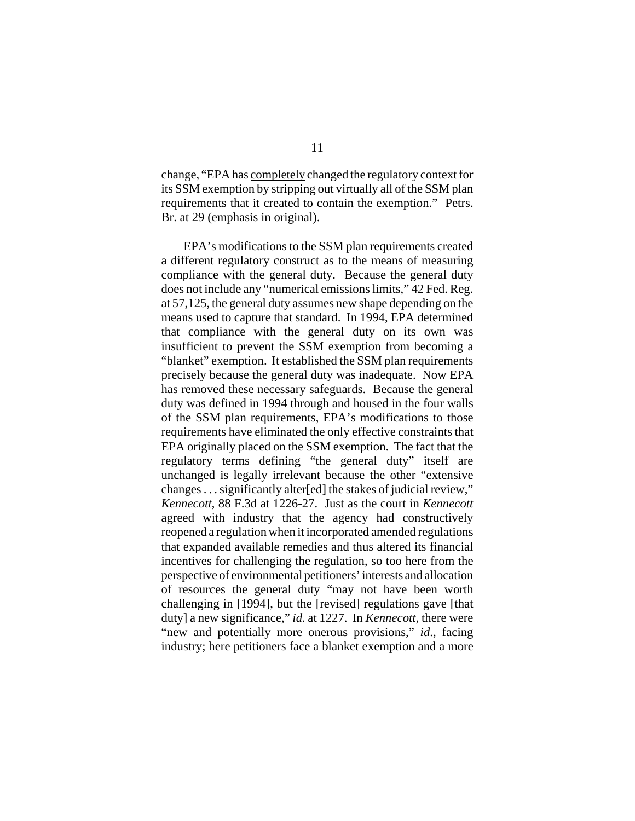change, "EPA has completely changed the regulatory context for its SSM exemption by stripping out virtually all of the SSM plan requirements that it created to contain the exemption." Petrs. Br. at 29 (emphasis in original).

EPA's modifications to the SSM plan requirements created a different regulatory construct as to the means of measuring compliance with the general duty. Because the general duty does not include any "numerical emissions limits," 42 Fed. Reg. at 57,125, the general duty assumes new shape depending on the means used to capture that standard. In 1994, EPA determined that compliance with the general duty on its own was insufficient to prevent the SSM exemption from becoming a "blanket" exemption. It established the SSM plan requirements precisely because the general duty was inadequate. Now EPA has removed these necessary safeguards. Because the general duty was defined in 1994 through and housed in the four walls of the SSM plan requirements, EPA's modifications to those requirements have eliminated the only effective constraints that EPA originally placed on the SSM exemption. The fact that the regulatory terms defining "the general duty" itself are unchanged is legally irrelevant because the other "extensive changes . . . significantly alter[ed] the stakes of judicial review," *Kennecott*, 88 F.3d at 1226-27. Just as the court in *Kennecott* agreed with industry that the agency had constructively reopened a regulation when it incorporated amended regulations that expanded available remedies and thus altered its financial incentives for challenging the regulation, so too here from the perspective of environmental petitioners' interests and allocation of resources the general duty "may not have been worth challenging in [1994], but the [revised] regulations gave [that duty] a new significance," *id.* at 1227. In *Kennecott*, there were "new and potentially more onerous provisions," *id*., facing industry; here petitioners face a blanket exemption and a more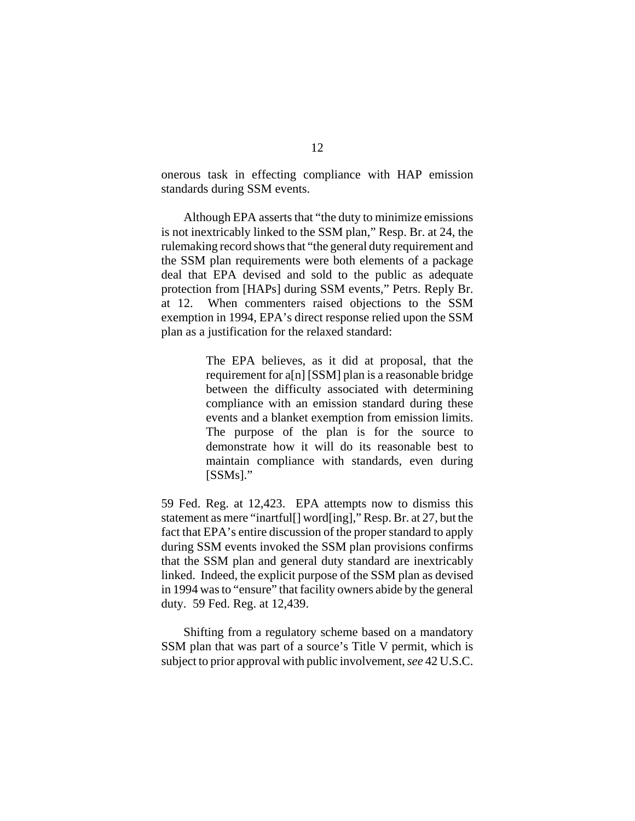onerous task in effecting compliance with HAP emission standards during SSM events.

Although EPA asserts that "the duty to minimize emissions is not inextricably linked to the SSM plan," Resp. Br. at 24, the rulemaking record shows that "the general duty requirement and the SSM plan requirements were both elements of a package deal that EPA devised and sold to the public as adequate protection from [HAPs] during SSM events," Petrs. Reply Br. at 12. When commenters raised objections to the SSM exemption in 1994, EPA's direct response relied upon the SSM plan as a justification for the relaxed standard:

> The EPA believes, as it did at proposal, that the requirement for a[n] [SSM] plan is a reasonable bridge between the difficulty associated with determining compliance with an emission standard during these events and a blanket exemption from emission limits. The purpose of the plan is for the source to demonstrate how it will do its reasonable best to maintain compliance with standards, even during [SSMs]."

59 Fed. Reg. at 12,423. EPA attempts now to dismiss this statement as mere "inartful[] word[ing]," Resp. Br. at 27, but the fact that EPA's entire discussion of the proper standard to apply during SSM events invoked the SSM plan provisions confirms that the SSM plan and general duty standard are inextricably linked. Indeed, the explicit purpose of the SSM plan as devised in 1994 was to "ensure" that facility owners abide by the general duty. 59 Fed. Reg. at 12,439.

Shifting from a regulatory scheme based on a mandatory SSM plan that was part of a source's Title V permit, which is subject to prior approval with public involvement, *see* 42 U.S.C.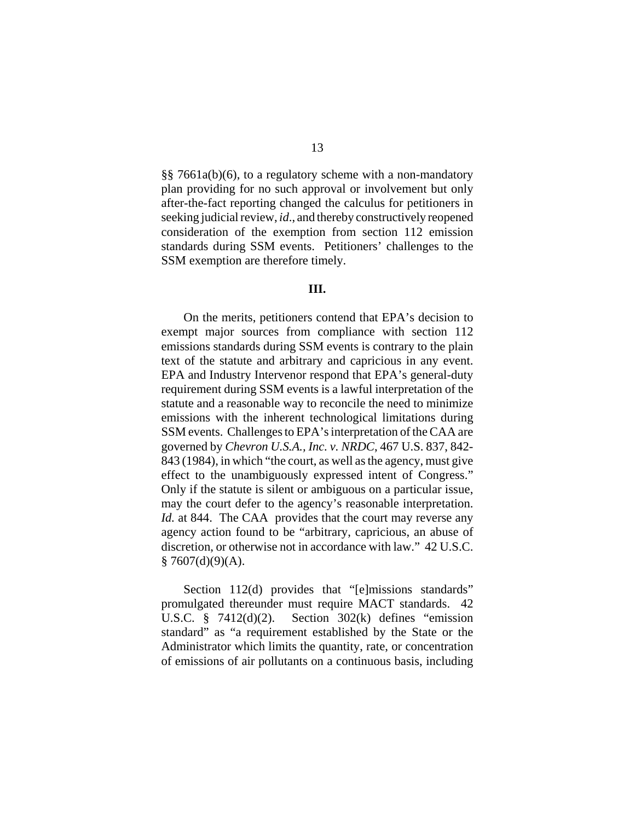§§ 7661a(b)(6), to a regulatory scheme with a non-mandatory plan providing for no such approval or involvement but only after-the-fact reporting changed the calculus for petitioners in seeking judicial review, *id*., and thereby constructively reopened consideration of the exemption from section 112 emission standards during SSM events. Petitioners' challenges to the SSM exemption are therefore timely.

## **III.**

On the merits, petitioners contend that EPA's decision to exempt major sources from compliance with section 112 emissions standards during SSM events is contrary to the plain text of the statute and arbitrary and capricious in any event. EPA and Industry Intervenor respond that EPA's general-duty requirement during SSM events is a lawful interpretation of the statute and a reasonable way to reconcile the need to minimize emissions with the inherent technological limitations during SSM events. Challenges to EPA's interpretation of the CAA are governed by *Chevron U.S.A., Inc. v. NRDC*, 467 U.S. 837, 842- 843 (1984), in which "the court, as well as the agency, must give effect to the unambiguously expressed intent of Congress." Only if the statute is silent or ambiguous on a particular issue, may the court defer to the agency's reasonable interpretation. *Id.* at 844. The CAA provides that the court may reverse any agency action found to be "arbitrary, capricious, an abuse of discretion, or otherwise not in accordance with law." 42 U.S.C.  $§ 7607(d)(9)(A).$ 

Section 112(d) provides that "[e]missions standards" promulgated thereunder must require MACT standards. 42 U.S.C.  $\frac{8}{9}$  7412(d)(2). Section 302(k) defines "emission standard" as "a requirement established by the State or the Administrator which limits the quantity, rate, or concentration of emissions of air pollutants on a continuous basis, including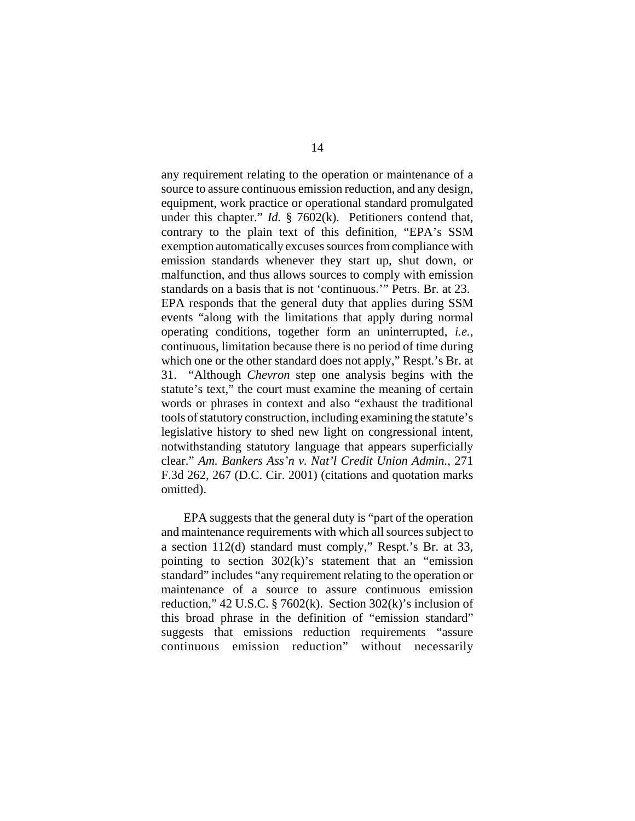any requirement relating to the operation or maintenance of a source to assure continuous emission reduction, and any design, equipment, work practice or operational standard promulgated under this chapter." *Id.* § 7602(k). Petitioners contend that, contrary to the plain text of this definition, "EPA's SSM exemption automatically excuses sources from compliance with emission standards whenever they start up, shut down, or malfunction, and thus allows sources to comply with emission standards on a basis that is not 'continuous.'" Petrs. Br. at 23. EPA responds that the general duty that applies during SSM events "along with the limitations that apply during normal operating conditions, together form an uninterrupted, *i.e.*, continuous, limitation because there is no period of time during which one or the other standard does not apply," Respt.'s Br. at 31. "Although *Chevron* step one analysis begins with the statute's text," the court must examine the meaning of certain words or phrases in context and also "exhaust the traditional tools of statutory construction, including examining the statute's legislative history to shed new light on congressional intent, notwithstanding statutory language that appears superficially clear." *Am. Bankers Ass'n v. Nat'l Credit Union Admin.*, 271 F.3d 262, 267 (D.C. Cir. 2001) (citations and quotation marks omitted).

EPA suggests that the general duty is "part of the operation and maintenance requirements with which all sources subject to a section 112(d) standard must comply," Respt.'s Br. at 33, pointing to section 302(k)'s statement that an "emission standard" includes "any requirement relating to the operation or maintenance of a source to assure continuous emission reduction," 42 U.S.C. § 7602 $(k)$ . Section 302 $(k)$ 's inclusion of this broad phrase in the definition of "emission standard" suggests that emissions reduction requirements "assure continuous emission reduction" without necessarily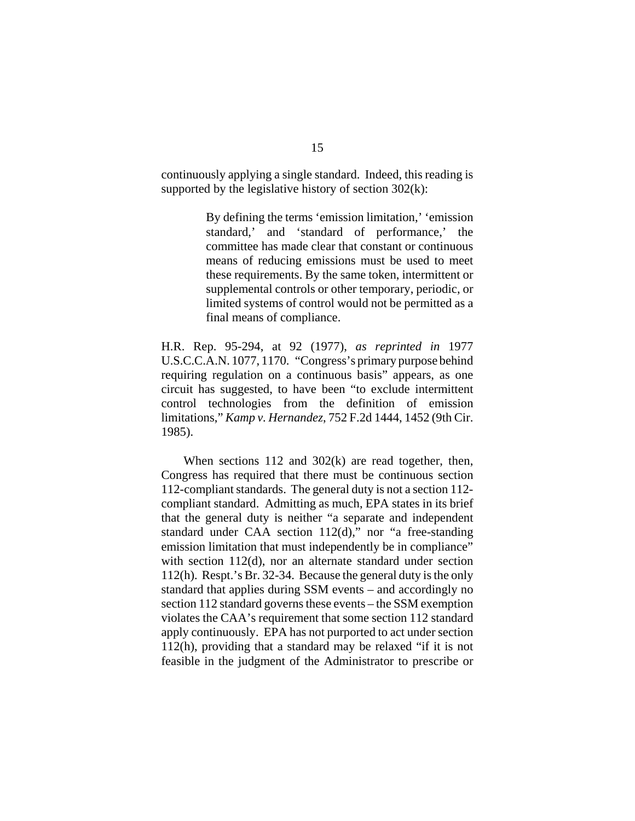continuously applying a single standard. Indeed, this reading is supported by the legislative history of section  $302(k)$ :

> By defining the terms 'emission limitation,' 'emission standard,' and 'standard of performance,' the committee has made clear that constant or continuous means of reducing emissions must be used to meet these requirements. By the same token, intermittent or supplemental controls or other temporary, periodic, or limited systems of control would not be permitted as a final means of compliance.

H.R. Rep. 95-294, at 92 (1977), *as reprinted in* 1977 U.S.C.C.A.N. 1077, 1170. "Congress's primary purpose behind requiring regulation on a continuous basis" appears, as one circuit has suggested, to have been "to exclude intermittent control technologies from the definition of emission limitations," *Kamp v. Hernandez*, 752 F.2d 1444, 1452 (9th Cir. 1985).

When sections 112 and 302(k) are read together, then, Congress has required that there must be continuous section 112-compliant standards. The general duty is not a section 112 compliant standard. Admitting as much, EPA states in its brief that the general duty is neither "a separate and independent standard under CAA section  $112(d)$ ," nor "a free-standing emission limitation that must independently be in compliance" with section 112(d), nor an alternate standard under section 112(h). Respt.'s Br. 32-34. Because the general duty is the only standard that applies during SSM events – and accordingly no section 112 standard governs these events – the SSM exemption violates the CAA's requirement that some section 112 standard apply continuously. EPA has not purported to act under section 112(h), providing that a standard may be relaxed "if it is not feasible in the judgment of the Administrator to prescribe or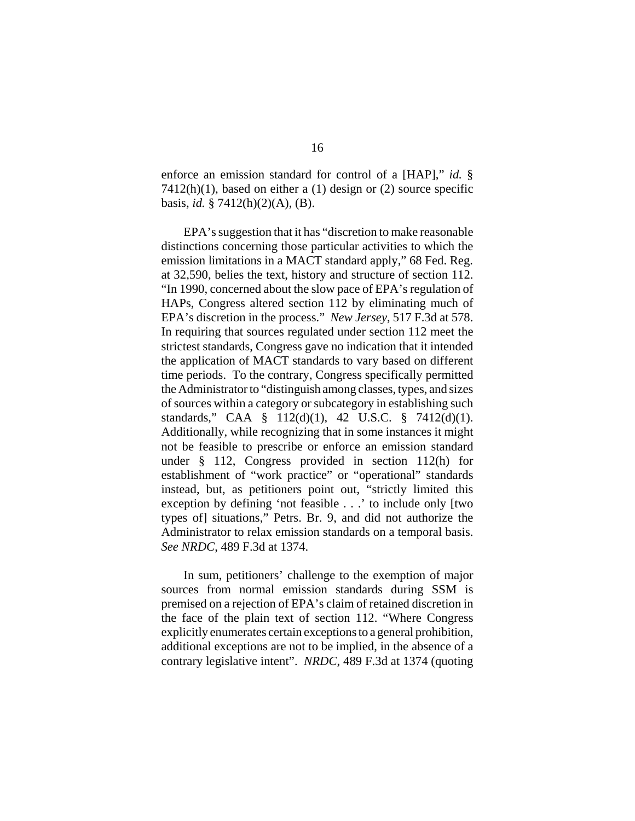enforce an emission standard for control of a [HAP]," *id.* §  $7412(h)(1)$ , based on either a (1) design or (2) source specific basis, *id.* § 7412(h)(2)(A), (B).

EPA's suggestion that it has "discretion to make reasonable distinctions concerning those particular activities to which the emission limitations in a MACT standard apply," 68 Fed. Reg. at 32,590, belies the text, history and structure of section 112. "In 1990, concerned about the slow pace of EPA's regulation of HAPs, Congress altered section 112 by eliminating much of EPA's discretion in the process." *New Jersey*, 517 F.3d at 578. In requiring that sources regulated under section 112 meet the strictest standards, Congress gave no indication that it intended the application of MACT standards to vary based on different time periods. To the contrary, Congress specifically permitted the Administrator to "distinguish among classes, types, and sizes of sources within a category or subcategory in establishing such standards," CAA § 112(d)(1), 42 U.S.C. § 7412(d)(1). Additionally, while recognizing that in some instances it might not be feasible to prescribe or enforce an emission standard under § 112, Congress provided in section 112(h) for establishment of "work practice" or "operational" standards instead, but, as petitioners point out, "strictly limited this exception by defining 'not feasible . . .' to include only [two types of] situations," Petrs. Br. 9, and did not authorize the Administrator to relax emission standards on a temporal basis. *See NRDC*, 489 F.3d at 1374.

In sum, petitioners' challenge to the exemption of major sources from normal emission standards during SSM is premised on a rejection of EPA's claim of retained discretion in the face of the plain text of section 112. "Where Congress explicitly enumerates certain exceptions to a general prohibition, additional exceptions are not to be implied, in the absence of a contrary legislative intent". *NRDC*, 489 F.3d at 1374 (quoting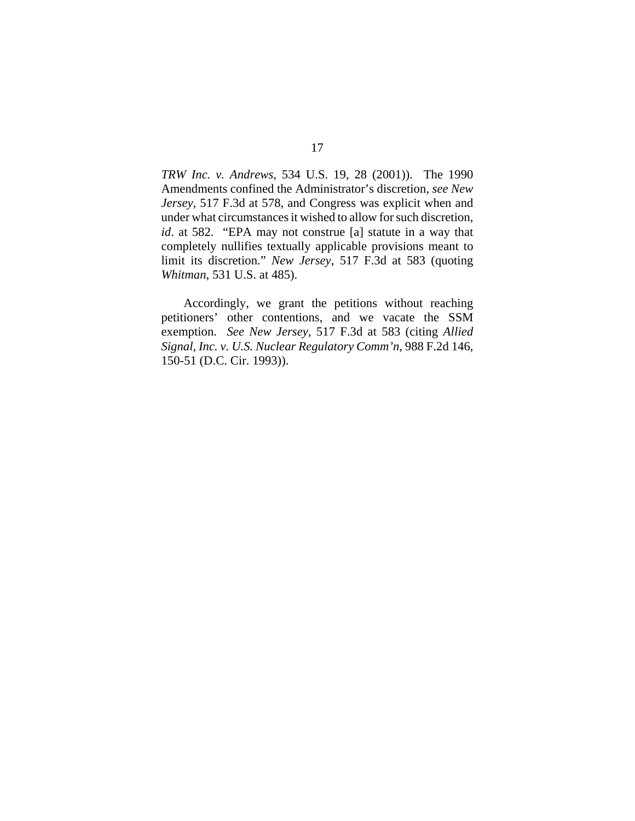*TRW Inc. v. Andrews*, 534 U.S. 19, 28 (2001)). The 1990 Amendments confined the Administrator's discretion, *see New Jersey*, 517 F.3d at 578, and Congress was explicit when and under what circumstances it wished to allow for such discretion, *id*. at 582. "EPA may not construe [a] statute in a way that completely nullifies textually applicable provisions meant to limit its discretion." *New Jersey*, 517 F.3d at 583 (quoting *Whitman*, 531 U.S. at 485).

Accordingly, we grant the petitions without reaching petitioners' other contentions, and we vacate the SSM exemption. *See New Jersey*, 517 F.3d at 583 (citing *Allied Signal, Inc. v. U.S. Nuclear Regulatory Comm'n*, 988 F.2d 146, 150-51 (D.C. Cir. 1993)).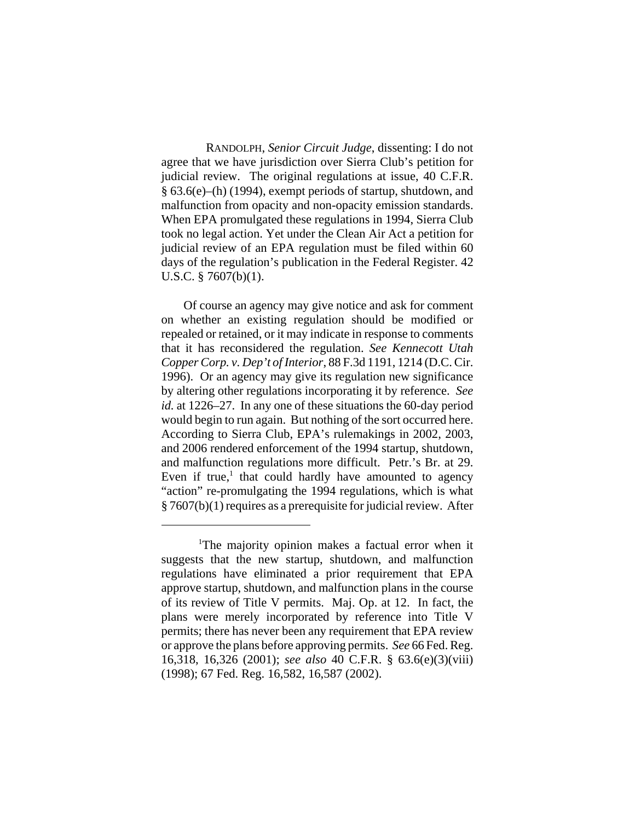RANDOLPH, *Senior Circuit Judge*, dissenting: I do not agree that we have jurisdiction over Sierra Club's petition for judicial review. The original regulations at issue, 40 C.F.R. § 63.6(e)–(h) (1994), exempt periods of startup, shutdown, and malfunction from opacity and non-opacity emission standards. When EPA promulgated these regulations in 1994, Sierra Club took no legal action. Yet under the Clean Air Act a petition for judicial review of an EPA regulation must be filed within 60 days of the regulation's publication in the Federal Register. 42 U.S.C. § 7607(b)(1).

Of course an agency may give notice and ask for comment on whether an existing regulation should be modified or repealed or retained, or it may indicate in response to comments that it has reconsidered the regulation. *See Kennecott Utah Copper Corp. v. Dep't of Interior*, 88 F.3d 1191, 1214 (D.C. Cir. 1996). Or an agency may give its regulation new significance by altering other regulations incorporating it by reference. *See id.* at 1226–27. In any one of these situations the 60-day period would begin to run again. But nothing of the sort occurred here. According to Sierra Club, EPA's rulemakings in 2002, 2003, and 2006 rendered enforcement of the 1994 startup, shutdown, and malfunction regulations more difficult. Petr.'s Br. at 29. Even if true, $<sup>1</sup>$  that could hardly have amounted to agency</sup> "action" re-promulgating the 1994 regulations, which is what § 7607(b)(1) requires as a prerequisite for judicial review. After

<sup>&</sup>lt;sup>1</sup>The majority opinion makes a factual error when it suggests that the new startup, shutdown, and malfunction regulations have eliminated a prior requirement that EPA approve startup, shutdown, and malfunction plans in the course of its review of Title V permits. Maj. Op. at 12. In fact, the plans were merely incorporated by reference into Title V permits; there has never been any requirement that EPA review or approve the plans before approving permits. *See* 66 Fed. Reg. 16,318, 16,326 (2001); *see also* 40 C.F.R. § 63.6(e)(3)(viii) (1998); 67 Fed. Reg. 16,582, 16,587 (2002).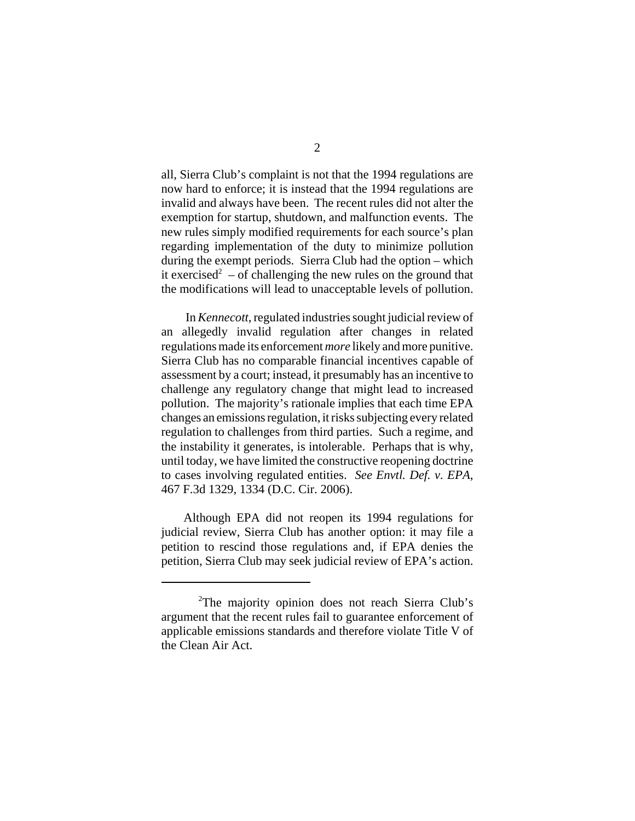all, Sierra Club's complaint is not that the 1994 regulations are now hard to enforce; it is instead that the 1994 regulations are invalid and always have been. The recent rules did not alter the exemption for startup, shutdown, and malfunction events. The new rules simply modified requirements for each source's plan regarding implementation of the duty to minimize pollution during the exempt periods. Sierra Club had the option – which it exercised<sup>2</sup> – of challenging the new rules on the ground that the modifications will lead to unacceptable levels of pollution.

 In *Kennecott*, regulated industries sought judicial review of an allegedly invalid regulation after changes in related regulations made its enforcement *more* likely and more punitive. Sierra Club has no comparable financial incentives capable of assessment by a court; instead, it presumably has an incentive to challenge any regulatory change that might lead to increased pollution. The majority's rationale implies that each time EPA changes an emissions regulation, it risks subjecting every related regulation to challenges from third parties. Such a regime, and the instability it generates, is intolerable. Perhaps that is why, until today, we have limited the constructive reopening doctrine to cases involving regulated entities. *See Envtl. Def. v. EPA*, 467 F.3d 1329, 1334 (D.C. Cir. 2006).

Although EPA did not reopen its 1994 regulations for judicial review, Sierra Club has another option: it may file a petition to rescind those regulations and, if EPA denies the petition, Sierra Club may seek judicial review of EPA's action.

<sup>&</sup>lt;sup>2</sup>The majority opinion does not reach Sierra Club's argument that the recent rules fail to guarantee enforcement of applicable emissions standards and therefore violate Title V of the Clean Air Act.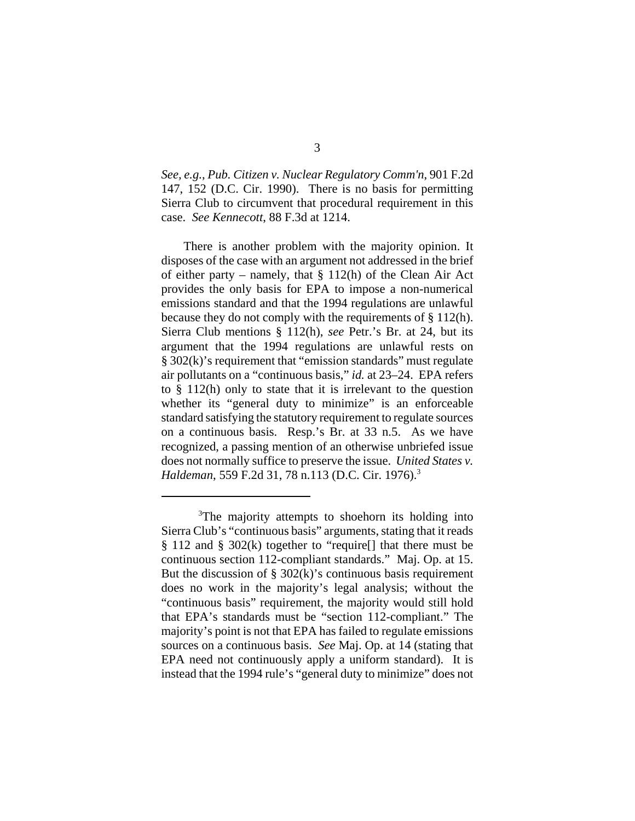*See, e.g.*, *Pub. Citizen v. Nuclear Regulatory Comm'n*, 901 F.2d 147, 152 (D.C. Cir. 1990). There is no basis for permitting Sierra Club to circumvent that procedural requirement in this case. *See Kennecott*, 88 F.3d at 1214.

There is another problem with the majority opinion. It disposes of the case with an argument not addressed in the brief of either party – namely, that  $\S 112(h)$  of the Clean Air Act provides the only basis for EPA to impose a non-numerical emissions standard and that the 1994 regulations are unlawful because they do not comply with the requirements of § 112(h). Sierra Club mentions § 112(h), *see* Petr.'s Br. at 24, but its argument that the 1994 regulations are unlawful rests on § 302(k)'s requirement that "emission standards" must regulate air pollutants on a "continuous basis," *id.* at 23–24. EPA refers to § 112(h) only to state that it is irrelevant to the question whether its "general duty to minimize" is an enforceable standard satisfying the statutory requirement to regulate sources on a continuous basis. Resp.'s Br. at 33 n.5. As we have recognized, a passing mention of an otherwise unbriefed issue does not normally suffice to preserve the issue. *United States v. Haldeman*, 559 F.2d 31, 78 n.113 (D.C. Cir. 1976).3

<sup>&</sup>lt;sup>3</sup>The majority attempts to shoehorn its holding into Sierra Club's "continuous basis" arguments, stating that it reads § 112 and § 302(k) together to "require[] that there must be continuous section 112-compliant standards." Maj. Op. at 15. But the discussion of  $\S 302(k)$ 's continuous basis requirement does no work in the majority's legal analysis; without the "continuous basis" requirement, the majority would still hold that EPA's standards must be "section 112-compliant." The majority's point is not that EPA has failed to regulate emissions sources on a continuous basis. *See* Maj. Op. at 14 (stating that EPA need not continuously apply a uniform standard). It is instead that the 1994 rule's "general duty to minimize" does not